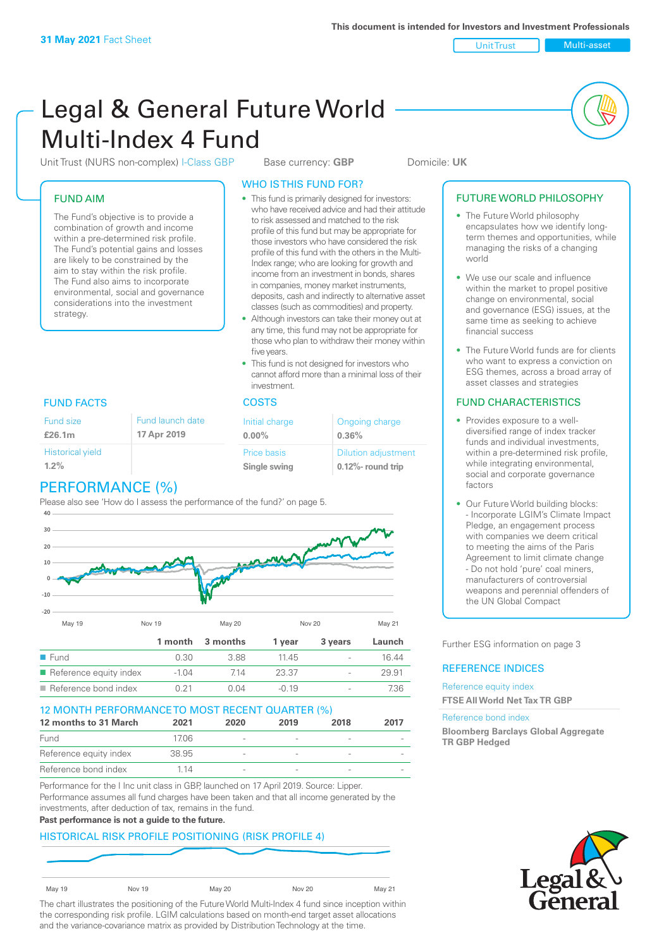Unit Trust Nulti-asset

# Legal & General Future World Multi-Index 4 Fund

Unit Trust (NURS non-complex) I-Class GBP Base currency: **GBP** Domicile: UK

### FUND AIM

The Fund's objective is to provide a combination of growth and income within a pre-determined risk profile. The Fund's potential gains and losses are likely to be constrained by the aim to stay within the risk profile. The Fund also aims to incorporate environmental, social and governance considerations into the investment strategy.

### WHO IS THIS FUND FOR?

- This fund is primarily designed for investors: who have received advice and had their attitude to risk assessed and matched to the risk profile of this fund but may be appropriate for those investors who have considered the risk profile of this fund with the others in the Multi-Index range; who are looking for growth and income from an investment in bonds, shares in companies, money market instruments, deposits, cash and indirectly to alternative asset classes (such as commodities) and property.
- Although investors can take their money out at any time, this fund may not be appropriate for those who plan to withdraw their money within five years.
- This fund is not designed for investors who cannot afford more than a minimal loss of their investment.

| Fund launch date<br>17 Apr 2019 | Initial charge<br>$0.00\%$  | Ongoing charge<br>0.36%                             |
|---------------------------------|-----------------------------|-----------------------------------------------------|
|                                 | Price basis<br>Single swing | <b>Dilution adjustment</b><br>$0.12\%$ - round trip |

### FUND FACTS COSTS

Fund size **£26.1m**

### PERFORMANCE (%)

Please also see 'How do I assess the performance of the fund?' on page 5.



### 12 MONTH PERFORMANCE TO MOST RECENT QUARTER (%) **12 months to 31 March 2021 2020 2019 2018 2017** Fund 17.06 - - - - Reference equity index 38.95 - - - - Reference bond index 1.14

Performance for the I Inc unit class in GBP, launched on 17 April 2019. Source: Lipper. Performance assumes all fund charges have been taken and that all income generated by the investments, after deduction of tax, remains in the fund.

#### **Past performance is not a guide to the future.**

### HISTORICAL RISK PROFILE POSITIONING (RISK PROFILE 4)

| <b>May 19</b> | Nov 19 | <b>May 20</b> | Nov 20 | May 21 |
|---------------|--------|---------------|--------|--------|

The chart illustrates the positioning of the Future World Multi-Index 4 fund since inception within the corresponding risk profile. LGIM calculations based on month-end target asset allocations and the variance-covariance matrix as provided by Distribution Technology at the time.

### FUTURE WORLD PHILOSOPHY

- The Future World philosophy encapsulates how we identify longterm themes and opportunities, while managing the risks of a changing world
- We use our scale and influence within the market to propel positive change on environmental, social and governance (ESG) issues, at the same time as seeking to achieve financial success
- The Future World funds are for clients who want to express a conviction on ESG themes, across a broad array of asset classes and strategies

### FUND CHARACTERISTICS

- Provides exposure to a welldiversified range of index tracker funds and individual investments, within a pre-determined risk profile while integrating environmental, social and corporate governance factors
- Our Future World building blocks: - Incorporate LGIM's Climate Impact Pledge, an engagement process with companies we deem critical to meeting the aims of the Paris Agreement to limit climate change - Do not hold 'pure' coal miners, manufacturers of controversial weapons and perennial offenders of the UN Global Compact

Further ESG information on page 3

### REFERENCE INDICES

Reference equity index **FTSE All World Net Tax TR GBP**

#### Reference bond index

**Bloomberg Barclays Global Aggregate TR GBP Hedged**

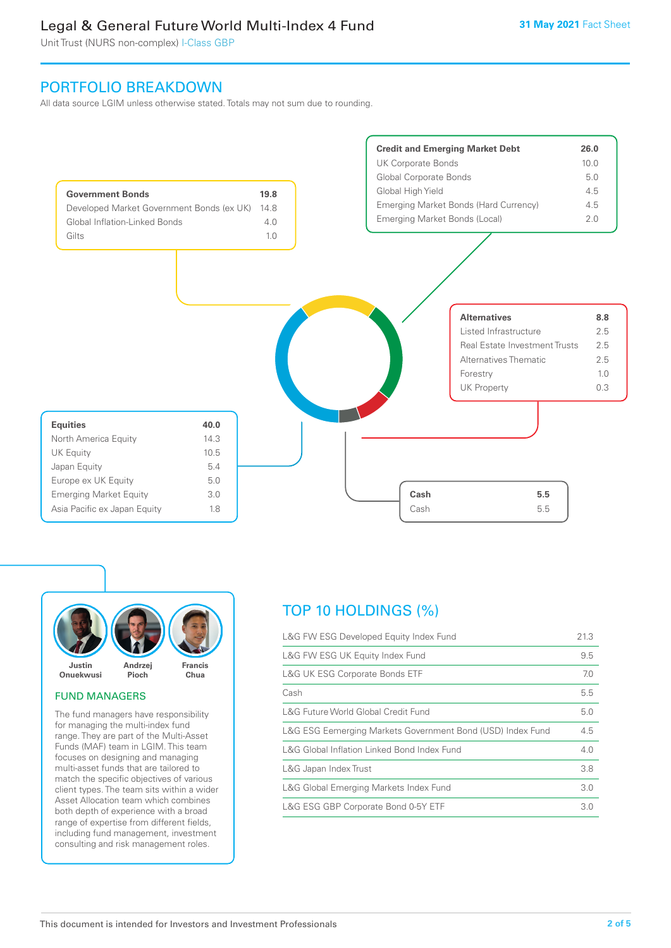Unit Trust (NURS non-complex) I-Class GBP

### PORTFOLIO BREAKDOWN

All data source LGIM unless otherwise stated. Totals may not sum due to rounding.





### FUND MANAGERS

The fund managers have responsibility for managing the multi-index fund range. They are part of the Multi-Asset Funds (MAF) team in LGIM. This team focuses on designing and managing multi-asset funds that are tailored to match the specific objectives of various client types. The team sits within a wider Asset Allocation team which combines both depth of experience with a broad range of expertise from different fields, including fund management, investment consulting and risk management roles.

### TOP 10 HOLDINGS (%)

| L&G FW ESG Developed Equity Index Fund                     | 21.3 |
|------------------------------------------------------------|------|
| L&G FW ESG UK Equity Index Fund                            | 9.5  |
| <b>L&amp;G UK ESG Corporate Bonds ETF</b>                  | 7.0  |
| Cash                                                       | 5.5  |
| L&G Future World Global Credit Fund                        | 5.0  |
| L&G ESG Eemerging Markets Government Bond (USD) Index Fund | 4.5  |
| L&G Global Inflation Linked Bond Index Fund                | 4.0  |
| L&G Japan Index Trust                                      | 3.8  |
| L&G Global Emerging Markets Index Fund                     | 3.0  |
| L&G ESG GBP Corporate Bond 0-5Y ETF                        | 3.0  |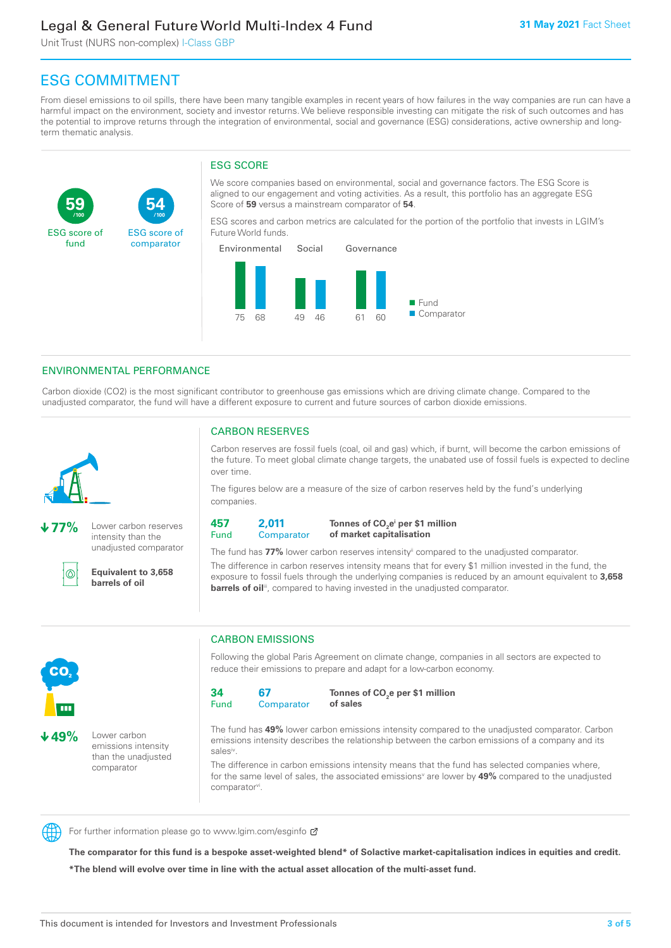Unit Trust (NURS non-complex) I-Class GBP

**54**

ESG score of comparator

## ESG COMMITMENT

**/100 /100**

From diesel emissions to oil spills, there have been many tangible examples in recent years of how failures in the way companies are run can have a harmful impact on the environment, society and investor returns. We believe responsible investing can mitigate the risk of such outcomes and has the potential to improve returns through the integration of environmental, social and governance (ESG) considerations, active ownership and longterm thematic analysis.

### ESG SCORE

We score companies based on environmental, social and governance factors. The ESG Score is aligned to our engagement and voting activities. As a result, this portfolio has an aggregate ESG Score of **59** versus a mainstream comparator of **54**.

ESG scores and carbon metrics are calculated for the portion of the portfolio that invests in LGIM's Future World funds.



### ENVIRONMENTAL PERFORMANCE

**77%** Lower carbon reserves intensity than the unadjusted comparator

> **Equivalent to 3,658 barrels of oil**

Carbon dioxide (CO2) is the most significant contributor to greenhouse gas emissions which are driving climate change. Compared to the unadjusted comparator, the fund will have a different exposure to current and future sources of carbon dioxide emissions.



൹

**59**

ESG score of fund

CARBON RESERVES

Carbon reserves are fossil fuels (coal, oil and gas) which, if burnt, will become the carbon emissions of the future. To meet global climate change targets, the unabated use of fossil fuels is expected to decline over time.

The figures below are a measure of the size of carbon reserves held by the fund's underlying companies.

**457** Fund **2,011 Comparator** 

**Tonnes of CO2 ei per \$1 million of market capitalisation**

The fund has **77%** lower carbon reserves intensityii compared to the unadjusted comparator. The difference in carbon reserves intensity means that for every \$1 million invested in the fund, the exposure to fossil fuels through the underlying companies is reduced by an amount equivalent to **3,658 barrels of oil**<sup>iii</sup>, compared to having invested in the unadjusted comparator.



**49%** Lower carbon emissions intensity

than the unadjusted comparator

CARBON EMISSIONS

Following the global Paris Agreement on climate change, companies in all sectors are expected to reduce their emissions to prepare and adapt for a low-carbon economy.

**34** Fund **67 Comparator** 

**Tonnes of CO2 e per \$1 million of sales**

The fund has **49%** lower carbon emissions intensity compared to the unadjusted comparator. Carbon emissions intensity describes the relationship between the carbon emissions of a company and its salesiv

The difference in carbon emissions intensity means that the fund has selected companies where, for the same level of sales, the associated emissions<sup>v</sup> are lower by **49%** compared to the unadjusted comparator<sup>vi</sup>.



For further information please go to www.lgim.com/esginfo Ø

**The comparator for this fund is a bespoke asset-weighted blend\* of Solactive market-capitalisation indices in equities and credit. \*The blend will evolve over time in line with the actual asset allocation of the multi-asset fund.**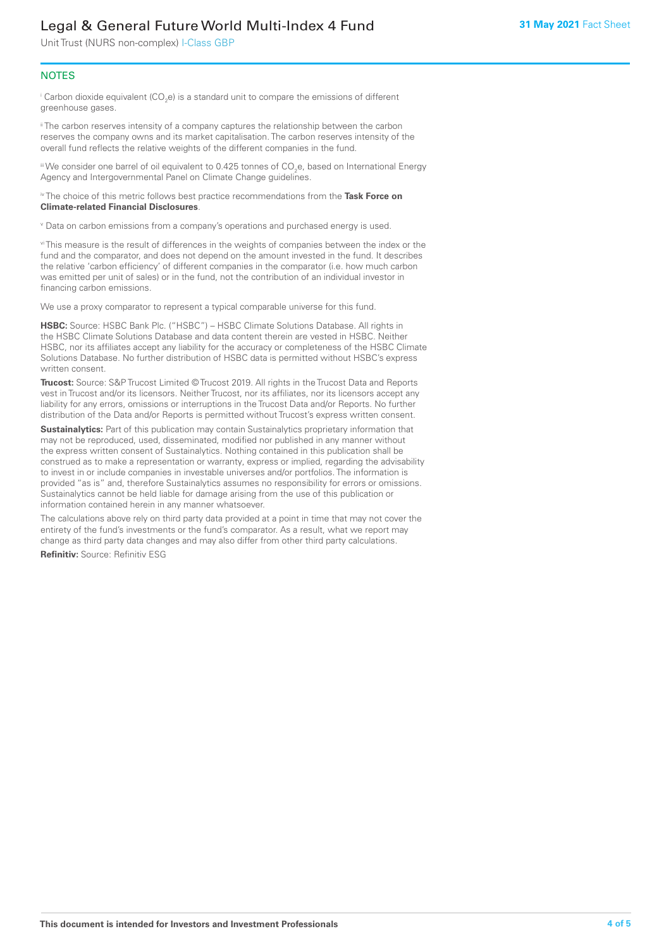Unit Trust (NURS non-complex) I-Class GBP

### **NOTES**

 $^\mathrm{i}$  Carbon dioxide equivalent (CO<sub>2</sub>e) is a standard unit to compare the emissions of different greenhouse gases.

<sup>ii</sup> The carbon reserves intensity of a company captures the relationship between the carbon reserves the company owns and its market capitalisation. The carbon reserves intensity of the overall fund reflects the relative weights of the different companies in the fund.

iii We consider one barrel of oil equivalent to 0.425 tonnes of CO<sub>2</sub>e, based on International Energy Agency and Intergovernmental Panel on Climate Change guidelines.

#### iv The choice of this metric follows best practice recommendations from the **Task Force on Climate-related Financial Disclosures**.

v Data on carbon emissions from a company's operations and purchased energy is used.

vi This measure is the result of differences in the weights of companies between the index or the fund and the comparator, and does not depend on the amount invested in the fund. It describes the relative 'carbon efficiency' of different companies in the comparator (i.e. how much carbon was emitted per unit of sales) or in the fund, not the contribution of an individual investor in financing carbon emissions.

We use a proxy comparator to represent a typical comparable universe for this fund.

**HSBC:** Source: HSBC Bank Plc. ("HSBC") – HSBC Climate Solutions Database. All rights in the HSBC Climate Solutions Database and data content therein are vested in HSBC. Neither HSBC, nor its affiliates accept any liability for the accuracy or completeness of the HSBC Climate Solutions Database. No further distribution of HSBC data is permitted without HSBC's express written consent.

**Trucost:** Source: S&P Trucost Limited © Trucost 2019. All rights in the Trucost Data and Reports vest in Trucost and/or its licensors. Neither Trucost, nor its affiliates, nor its licensors accept any liability for any errors, omissions or interruptions in the Trucost Data and/or Reports. No further distribution of the Data and/or Reports is permitted without Trucost's express written consent.

**Sustainalytics:** Part of this publication may contain Sustainalytics proprietary information that may not be reproduced, used, disseminated, modified nor published in any manner without the express written consent of Sustainalytics. Nothing contained in this publication shall be construed as to make a representation or warranty, express or implied, regarding the advisability to invest in or include companies in investable universes and/or portfolios. The information is provided "as is" and, therefore Sustainalytics assumes no responsibility for errors or omissions. Sustainalytics cannot be held liable for damage arising from the use of this publication or information contained herein in any manner whatsoever.

The calculations above rely on third party data provided at a point in time that may not cover the entirety of the fund's investments or the fund's comparator. As a result, what we report may change as third party data changes and may also differ from other third party calculations.

**Refinitiv:** Source: Refinitiv ESG